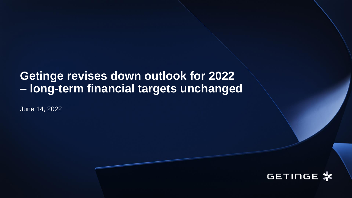# **Getinge revises down outlook for 2022 – long-term financial targets unchanged**

June 14, 2022

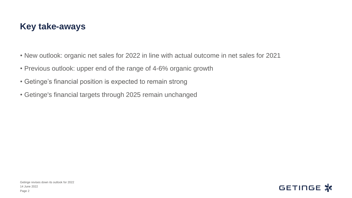#### **Key take-aways**

- New outlook: organic net sales for 2022 in line with actual outcome in net sales for 2021
- Previous outlook: upper end of the range of 4-6% organic growth
- Getinge's financial position is expected to remain strong
- Getinge's financial targets through 2025 remain unchanged

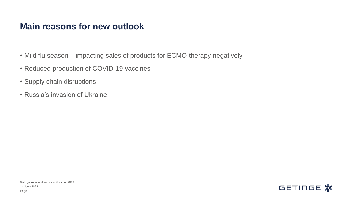#### **Main reasons for new outlook**

- Mild flu season impacting sales of products for ECMO-therapy negatively
- Reduced production of COVID-19 vaccines
- Supply chain disruptions
- Russia's invasion of Ukraine

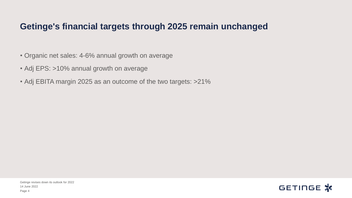## **Getinge's financial targets through 2025 remain unchanged**

- Organic net sales: 4-6% annual growth on average
- Adj EPS: >10% annual growth on average
- Adj EBITA margin 2025 as an outcome of the two targets: >21%

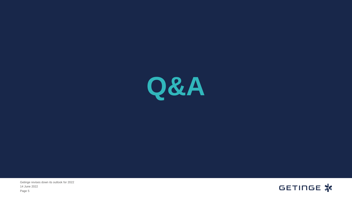

Getinge revises down its outlook for 2022 Page 5 14 June 2022

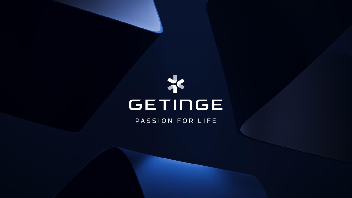# SETINGE

PASSION FOR LIFE